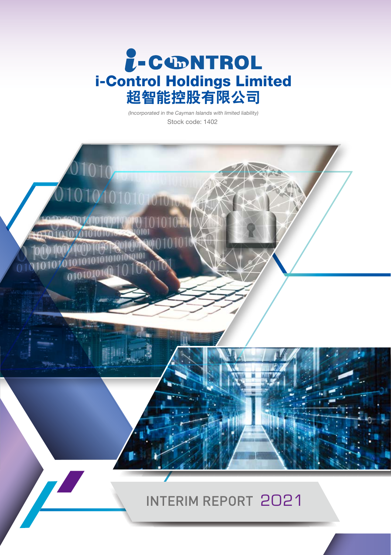

Stock code: 1402 (Incorporated in the Cayman Islands with limited liability)

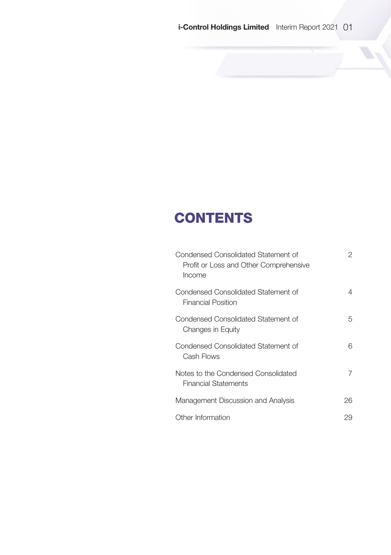# **CONTENTS**

| Condensed Consolidated Statement of<br>Profit or Loss and Other Comprehensive<br>Income | 2  |
|-----------------------------------------------------------------------------------------|----|
| Condensed Consolidated Statement of<br><b>Financial Position</b>                        | 4  |
| Condensed Consolidated Statement of<br>Changes in Equity                                | 5  |
| Condensed Consolidated Statement of<br>Cash Flows                                       | 6  |
| Notes to the Condensed Consolidated<br><b>Financial Statements</b>                      | 7  |
| Management Discussion and Analysis                                                      | 26 |
| Other Information                                                                       | 29 |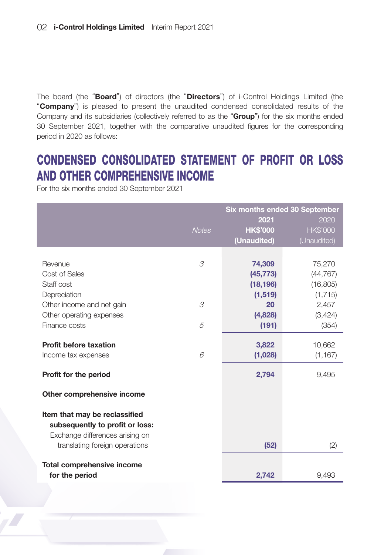The board (the "Board") of directors (the "Directors") of i-Control Holdings Limited (the "Company") is pleased to present the unaudited condensed consolidated results of the Company and its subsidiaries (collectively referred to as the "Group") for the six months ended 30 September 2021, together with the comparative unaudited figures for the corresponding period in 2020 as follows:

# CONDENSED CONSOLIDATED STATEMENT OF PROFIT OR LOSS AND OTHER COMPREHENSIVE INCOME

For the six months ended 30 September 2021

|                                                                                                     |              | Six months ended 30 September<br>2021<br>2020 |                  |  |
|-----------------------------------------------------------------------------------------------------|--------------|-----------------------------------------------|------------------|--|
|                                                                                                     | <b>Notes</b> | <b>HK\$'000</b>                               | <b>HK\$'000</b>  |  |
|                                                                                                     |              | (Unaudited)                                   | (Unaudited)      |  |
|                                                                                                     |              |                                               |                  |  |
| Revenue                                                                                             | 3            | 74,309                                        | 75,270           |  |
| Cost of Sales                                                                                       |              | (45, 773)                                     | (44, 767)        |  |
| Staff cost                                                                                          |              | (18, 196)                                     | (16, 805)        |  |
| Depreciation                                                                                        |              | (1,519)                                       | (1,715)          |  |
| Other income and net gain                                                                           | 3            | 20<br>(4,828)                                 | 2,457<br>(3,424) |  |
| Other operating expenses<br>Finance costs                                                           | 5            | (191)                                         | (354)            |  |
|                                                                                                     |              |                                               |                  |  |
| <b>Profit before taxation</b>                                                                       |              | 3,822                                         | 10,662           |  |
| Income tax expenses                                                                                 | 6            | (1,028)                                       | (1, 167)         |  |
| Profit for the period                                                                               |              | 2,794                                         | 9,495            |  |
| Other comprehensive income                                                                          |              |                                               |                  |  |
| Item that may be reclassified<br>subsequently to profit or loss:<br>Exchange differences arising on |              |                                               |                  |  |
| translating foreign operations                                                                      |              | (52)                                          | (2)              |  |
| Total comprehensive income                                                                          |              |                                               |                  |  |
| for the period                                                                                      |              | 2,742                                         | 9,493            |  |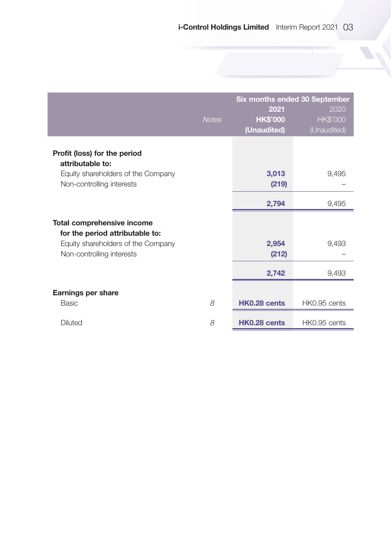|                                                  |              | Six months ended 30 September |                 |  |
|--------------------------------------------------|--------------|-------------------------------|-----------------|--|
|                                                  |              | 2021                          | 2020            |  |
|                                                  | <b>Notes</b> | <b>HK\$'000</b>               | <b>HK\$'000</b> |  |
|                                                  |              | (Unaudited)                   | (Unaudited)     |  |
| Profit (loss) for the period<br>attributable to: |              |                               |                 |  |
| Equity shareholders of the Company               |              | 3,013                         | 9,495           |  |
| Non-controlling interests                        |              | (219)                         |                 |  |
|                                                  |              | 2,794                         | 9,495           |  |
| Total comprehensive income                       |              |                               |                 |  |
| for the period attributable to:                  |              |                               |                 |  |
| Equity shareholders of the Company               |              | 2,954                         | 9,493           |  |
| Non-controlling interests                        |              | (212)                         |                 |  |
|                                                  |              | 2,742                         | 9,493           |  |
| <b>Earnings per share</b>                        |              |                               |                 |  |
| Basic                                            | 8            | HK0.28 cents                  | HK0.95 cents    |  |
| Diluted                                          | 8            | HK0.28 cents                  | HK0.95 cents    |  |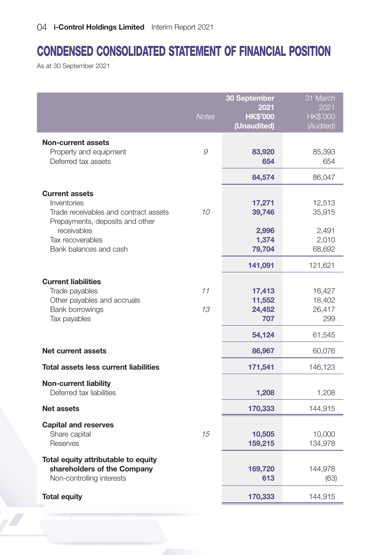# CONDENSED CONSOLIDATED STATEMENT OF FINANCIAL POSITION

As at 30 September 2021

|                                                                                                                  | <b>Notes</b> | 30 September<br>2021<br><b>HK\$'000</b><br>(Unaudited) | 31 March<br>2021<br><b>HK\$'000</b><br>(Audited) |
|------------------------------------------------------------------------------------------------------------------|--------------|--------------------------------------------------------|--------------------------------------------------|
| Non-current assets<br>Property and equipment<br>Deferred tax assets                                              | 9            | 83,920<br>654                                          | 85,393<br>654                                    |
|                                                                                                                  |              | 84,574                                                 | 86,047                                           |
| <b>Current assets</b><br>Inventories<br>Trade receivables and contract assets<br>Prepayments, deposits and other | 10           | 17,271<br>39,746                                       | 12,513<br>35,915                                 |
| receivables<br>Tax recoverables<br>Bank balances and cash                                                        |              | 2,996<br>1,374<br>79,704                               | 2,491<br>2,010<br>68,692                         |
|                                                                                                                  |              | 141,091                                                | 121,621                                          |
| <b>Current liabilities</b><br>Trade payables<br>Other payables and accruals<br>Bank borrowings<br>Tax payables   | 11<br>13     | 17,413<br>11,552<br>24,452<br>707                      | 16,427<br>18,402<br>26,417<br>299                |
|                                                                                                                  |              | 54,124                                                 | 61,545                                           |
| Net current assets                                                                                               |              | 86,967                                                 | 60,076                                           |
| Total assets less current liabilities                                                                            |              | 171,541                                                | 146,123                                          |
| <b>Non-current liability</b><br>Deferred tax liabilities                                                         |              | 1,208                                                  | 1,208                                            |
| Net assets                                                                                                       |              | 170,333                                                | 144,915                                          |
| <b>Capital and reserves</b><br>Share capital<br>Reserves                                                         | 15           | 10,505<br>159,215                                      | 10,000<br>134,978                                |
| Total equity attributable to equity<br>shareholders of the Company<br>Non-controlling interests                  |              | 169,720<br>613                                         | 144,978<br>(63)                                  |
| <b>Total equity</b>                                                                                              |              | 170,333                                                | 144,915                                          |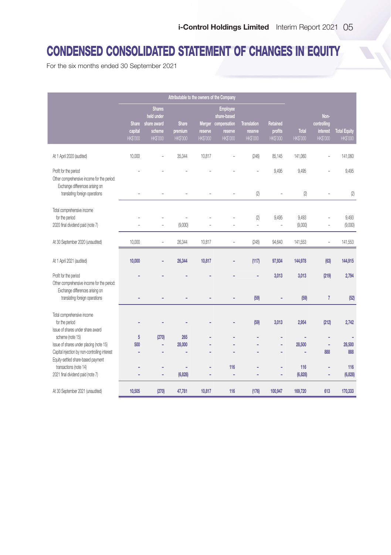# CONDENSED CONSOLIDATED STATEMENT OF CHANGES IN EQUITY

For the six months ended 30 September 2021

|                                                                                     |                         |                             | Attributable to the owners of the Company |                     |                                |                            |                     |                 |                         |                                        |
|-------------------------------------------------------------------------------------|-------------------------|-----------------------------|-------------------------------------------|---------------------|--------------------------------|----------------------------|---------------------|-----------------|-------------------------|----------------------------------------|
|                                                                                     |                         | <b>Shares</b><br>held under |                                           |                     | <b>Employee</b><br>share-based |                            |                     |                 | Non-                    |                                        |
|                                                                                     | <b>Share</b><br>capital | share award                 | <b>Share</b>                              |                     | Merger compensation            | <b>Translation</b>         | Retained<br>profits | <b>Total</b>    | controlling<br>interest |                                        |
|                                                                                     | HK\$'000                | scheme<br>HK\$'000          | premium<br>HK\$'000                       | reserve<br>HK\$'000 | reserve<br>HK\$'000            | reserve<br><b>HK\$'000</b> | <b>HK\$'000</b>     | <b>HK\$'000</b> | <b>HK\$'000</b>         | <b>Total Equity</b><br><b>HK\$'000</b> |
|                                                                                     |                         |                             |                                           |                     |                                |                            |                     |                 |                         |                                        |
| At 1 April 2020 (audited)                                                           | 10.000                  |                             | 35,344                                    | 10,817              |                                | (246)                      | 85,145              | 141,060         | ۰                       | 141.060                                |
| Profit for the period<br>Other comprehensive income for the period:                 |                         |                             |                                           |                     |                                |                            | 9,495               | 9,495           |                         | 9,495                                  |
| Exchange differences arising on<br>translating foreign operations                   |                         |                             |                                           |                     |                                | (2)                        | ä,                  | (2)             | L.                      | (2)                                    |
| Total comprehensive income                                                          |                         |                             |                                           |                     |                                |                            |                     | 9.493           |                         |                                        |
| for the period<br>2020 final dividend paid (note 7)                                 |                         | ÷.                          | (9,000)                                   |                     |                                | (2)<br>÷,                  | 9.495<br>÷,         | (9,000)         | ÷,                      | 9,493<br>(9,000)                       |
| At 30 September 2020 (unaudited)                                                    | 10,000                  | L,                          | 26,344                                    | 10.817              |                                | (248)                      | 94,640              | 141,553         | ÷,                      | 141,553                                |
| At 1 April 2021 (audited)                                                           | 10,000                  |                             | 26,344                                    | 10,817              |                                | (117)                      | 97,934              | 144,978         | (63)                    | 144,915                                |
|                                                                                     |                         |                             |                                           |                     |                                |                            |                     |                 |                         |                                        |
| Profit for the period<br>Other comprehensive income for the period:                 |                         |                             |                                           |                     |                                |                            | 3,013               | 3,013           | (219)                   | 2,794                                  |
| Exchange differences arising on<br>translating foreign operations                   |                         |                             | L                                         |                     |                                | (59)                       | ÷,                  | (59)            | $\overline{7}$          | (52)                                   |
| Total comprehensive income                                                          |                         |                             |                                           |                     |                                |                            |                     |                 |                         |                                        |
| for the period<br>Issue of shares under share award                                 |                         |                             |                                           |                     | ÷,                             | (59)                       | 3,013               | 2,954           | (212)                   | 2,742                                  |
| scheme (note 15)                                                                    | 5                       | (270)                       | 265                                       |                     |                                |                            |                     |                 | ٠                       |                                        |
| Issue of shares under placing (note 15)                                             | 500                     | ÷,                          | 28,000                                    |                     | ÷                              |                            | ٠                   | 28,500          | ٠                       | 28,500                                 |
| Capital injection by non-controlling interest<br>Equity-settled share-based payment |                         | ÷,                          |                                           |                     |                                |                            | ÷                   |                 | 888                     | 888                                    |
| transactions (note 14)                                                              |                         | ٠                           | ٠                                         | ٠                   | 116                            |                            | ÷,                  | 116             | ٠                       | 116                                    |
| 2021 final dividend paid (note 7)                                                   |                         | ÷,                          | (6,828)                                   | ÷,                  | L.                             |                            | ÷,                  | (6, 828)        | ۰                       | (6, 828)                               |
| At 30 September 2021 (unaudited)                                                    | 10,505                  | (270)                       | 47,781                                    | 10,817              | 116                            | (176)                      | 100,947             | 169,720         | 613                     | 170,333                                |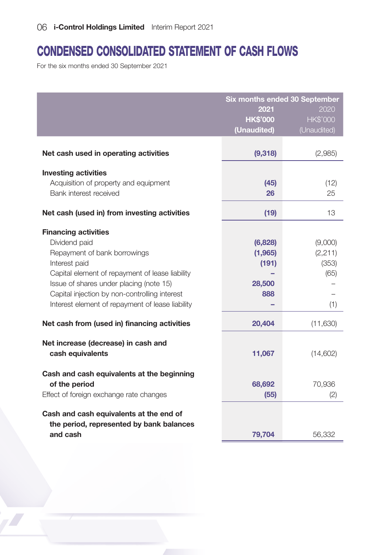# CONDENSED CONSOLIDATED STATEMENT OF CASH FLOWS

For the six months ended 30 September 2021

|                                                                                                                                                                                                                                                                                                  | 2021<br><b>HK\$'000</b><br>(Unaudited)       | Six months ended 30 September<br>2020<br><b>HK\$'000</b><br>(Unaudited) |
|--------------------------------------------------------------------------------------------------------------------------------------------------------------------------------------------------------------------------------------------------------------------------------------------------|----------------------------------------------|-------------------------------------------------------------------------|
| Net cash used in operating activities                                                                                                                                                                                                                                                            | (9,318)                                      | (2,985)                                                                 |
| <b>Investing activities</b><br>Acquisition of property and equipment<br>Bank interest received<br>Net cash (used in) from investing activities                                                                                                                                                   | (45)<br>26<br>(19)                           | (12)<br>25<br>13                                                        |
| <b>Financing activities</b><br>Dividend paid<br>Repayment of bank borrowings<br>Interest paid<br>Capital element of repayment of lease liability<br>Issue of shares under placing (note 15)<br>Capital injection by non-controlling interest<br>Interest element of repayment of lease liability | (6,828)<br>(1,965)<br>(191)<br>28,500<br>888 | (9,000)<br>(2,211)<br>(353)<br>(65)<br>(1)                              |
| Net cash from (used in) financing activities                                                                                                                                                                                                                                                     | 20,404                                       | (11,630)                                                                |
| Net increase (decrease) in cash and<br>cash equivalents                                                                                                                                                                                                                                          | 11,067                                       | (14,602)                                                                |
| Cash and cash equivalents at the beginning<br>of the period<br>Effect of foreign exchange rate changes                                                                                                                                                                                           | 68,692<br>(55)                               | 70,936<br>(2)                                                           |
| Cash and cash equivalents at the end of<br>the period, represented by bank balances<br>and cash                                                                                                                                                                                                  | 79,704                                       | 56,332                                                                  |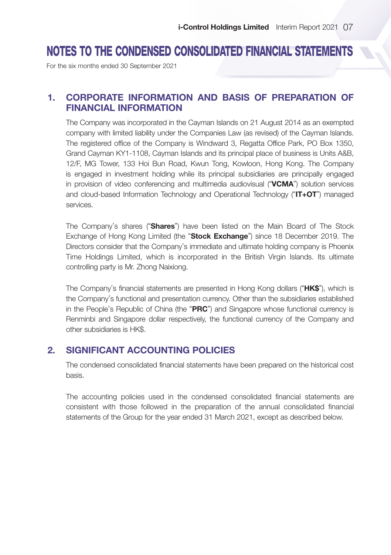# NOTES TO THE CONDENSED CONSOLIDATED FINANCIAL STATEMENTS

For the six months ended 30 September 2021

# 1. CORPORATE INFORMATION AND BASIS OF PREPARATION OF FINANCIAL INFORMATION

The Company was incorporated in the Cayman Islands on 21 August 2014 as an exempted company with limited liability under the Companies Law (as revised) of the Cayman Islands. The registered office of the Company is Windward 3, Regatta Office Park, PO Box 1350, Grand Cayman KY1-1108, Cayman Islands and its principal place of business is Units A&B, 12/F, MG Tower, 133 Hoi Bun Road, Kwun Tong, Kowloon, Hong Kong. The Company is engaged in investment holding while its principal subsidiaries are principally engaged in provision of video conferencing and multimedia audiovisual ("VCMA") solution services and cloud-based Information Technology and Operational Technology ("IT+OT") managed services.

The Company's shares ("Shares") have been listed on the Main Board of The Stock Exchange of Hong Kong Limited (the "Stock Exchange") since 18 December 2019. The Directors consider that the Company's immediate and ultimate holding company is Phoenix Time Holdings Limited, which is incorporated in the British Virgin Islands. Its ultimate controlling party is Mr. Zhong Naixiong.

The Company's financial statements are presented in Hong Kong dollars ("HK\$"), which is the Company's functional and presentation currency. Other than the subsidiaries established in the People's Republic of China (the "PRC") and Singapore whose functional currency is Renminbi and Singapore dollar respectively, the functional currency of the Company and other subsidiaries is HK\$.

# 2. SIGNIFICANT ACCOUNTING POLICIES

The condensed consolidated financial statements have been prepared on the historical cost basis.

The accounting policies used in the condensed consolidated financial statements are consistent with those followed in the preparation of the annual consolidated financial statements of the Group for the year ended 31 March 2021, except as described below.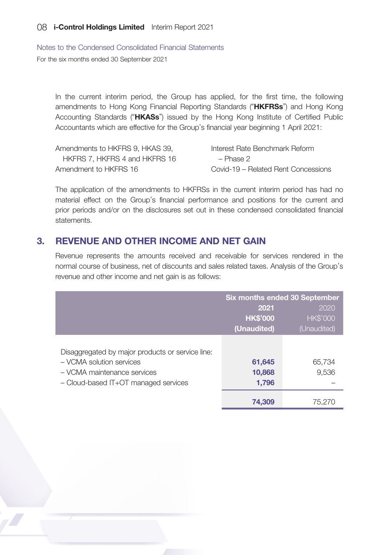Notes to the Condensed Consolidated Financial Statements For the six months ended 30 September 2021

In the current interim period, the Group has applied, for the first time, the following amendments to Hong Kong Financial Reporting Standards ("HKFRSs") and Hong Kong Accounting Standards ("HKASs") issued by the Hong Kong Institute of Certified Public Accountants which are effective for the Group's financial year beginning 1 April 2021:

| Amendments to HKFRS 9, HKAS 39, | Interest Rate Benchmark Reform      |
|---------------------------------|-------------------------------------|
| HKFRS 7. HKFRS 4 and HKFRS 16   | – Phase 2                           |
| Amendment to HKFRS 16           | Covid-19 – Related Rent Concessions |

The application of the amendments to HKFRSs in the current interim period has had no material effect on the Group's financial performance and positions for the current and prior periods and/or on the disclosures set out in these condensed consolidated financial statements.

## 3. REVENUE AND OTHER INCOME AND NET GAIN

Revenue represents the amounts received and receivable for services rendered in the normal course of business, net of discounts and sales related taxes. Analysis of the Group's revenue and other income and net gain is as follows:

|                                                                                                                                                     | Six months ended 30 September |                 |  |
|-----------------------------------------------------------------------------------------------------------------------------------------------------|-------------------------------|-----------------|--|
|                                                                                                                                                     | 2020<br>2021                  |                 |  |
|                                                                                                                                                     | <b>HK\$'000</b>               | <b>HK\$'000</b> |  |
|                                                                                                                                                     | (Unaudited)                   | (Unaudited)     |  |
| Disaggregated by major products or service line:<br>- VCMA solution services<br>- VCMA maintenance services<br>- Cloud-based IT+OT managed services | 61,645<br>10,868<br>1,796     | 65,734<br>9,536 |  |
|                                                                                                                                                     | 74,309                        | 75.270          |  |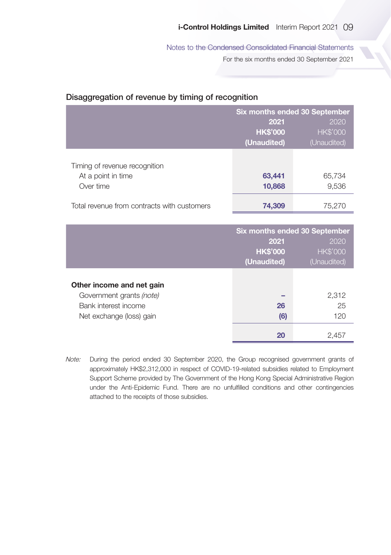Notes to the Condensed Consolidated Financial Statements

For the six months ended 30 September 2021

#### Disaggregation of revenue by timing of recognition

|                                                                  | Six months ended 30 September |                 |  |
|------------------------------------------------------------------|-------------------------------|-----------------|--|
|                                                                  | 2021<br>2020                  |                 |  |
|                                                                  | <b>HK\$'000</b>               | <b>HK\$'000</b> |  |
|                                                                  | (Unaudited)                   | (Unaudited)     |  |
| Timing of revenue recognition<br>At a point in time<br>Over time | 63,441<br>10,868              | 65,734<br>9,536 |  |
| Total revenue from contracts with customers                      | 74,309                        | 75,270          |  |

|                           | Six months ended 30 September |                 |  |
|---------------------------|-------------------------------|-----------------|--|
|                           | 2021<br>2020                  |                 |  |
|                           | <b>HK\$'000</b>               | <b>HK\$'000</b> |  |
|                           | (Unaudited)                   | (Unaudited)     |  |
|                           |                               |                 |  |
| Other income and net gain |                               |                 |  |
| Government grants (note)  |                               | 2,312           |  |
| Bank interest income      | 26                            | 25              |  |
| Net exchange (loss) gain  | (6)                           | 120             |  |
|                           | 20                            | 2.45.           |  |

Note: During the period ended 30 September 2020, the Group recognised government grants of approximately HK\$2,312,000 in respect of COVID-19-related subsidies related to Employment Support Scheme provided by The Government of the Hong Kong Special Administrative Region under the Anti-Epidemic Fund. There are no unfulfilled conditions and other contingencies attached to the receipts of those subsidies.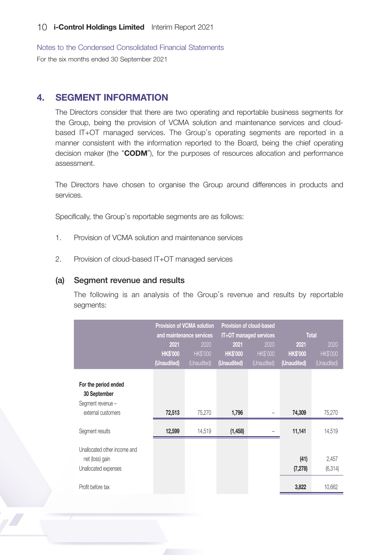Notes to the Condensed Consolidated Financial Statements For the six months ended 30 September 2021

# 4. SEGMENT INFORMATION

The Directors consider that there are two operating and reportable business segments for the Group, being the provision of VCMA solution and maintenance services and cloudbased IT+OT managed services. The Group's operating segments are reported in a manner consistent with the information reported to the Board, being the chief operating decision maker (the "CODM"), for the purposes of resources allocation and performance assessment.

The Directors have chosen to organise the Group around differences in products and services.

Specifically, the Group's reportable segments are as follows:

- 1. Provision of VCMA solution and maintenance services
- 2. Provision of cloud-based IT+OT managed services

#### (a) Segment revenue and results

The following is an analysis of the Group's revenue and results by reportable segments:

|                                                                                              | Provision of VCMA solution<br>and maintenance services |                                       | Provision of cloud-based<br>IT+OT managed services |                                        | <b>Total</b>                          |                                        |  |
|----------------------------------------------------------------------------------------------|--------------------------------------------------------|---------------------------------------|----------------------------------------------------|----------------------------------------|---------------------------------------|----------------------------------------|--|
|                                                                                              | 2021<br><b>HK\$'000</b><br>(Unaudited)                 | 2020<br><b>HKS'000</b><br>(Unaudited) | 2021<br><b>HKS'000</b><br>(Unaudited)              | 2020<br><b>HK\$'000</b><br>(Unaudited) | 2021<br><b>HKS'000</b><br>(Unaudited) | 2020<br><b>HK\$'000</b><br>(Unaudited) |  |
| For the period ended<br>30 September<br>Segment revenue -<br>external customers              | 72,513                                                 | 75,270                                | 1,796                                              |                                        | 74,309                                | 75,270                                 |  |
| Segment results                                                                              | 12,599                                                 | 14,519                                | (1,458)                                            |                                        | 11,141                                | 14,519                                 |  |
| Unallocated other income and<br>net (loss) gain<br>Unallocated expenses<br>Profit before tax |                                                        |                                       |                                                    |                                        | (41)<br>(7, 278)<br>3,822             | 2,457<br>(6, 314)<br>10,662            |  |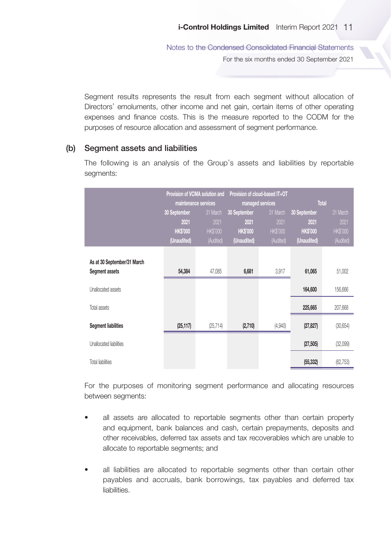Notes to the Condensed Consolidated Financial Statements For the six months ended 30 September 2021

Segment results represents the result from each segment without allocation of Directors' emoluments, other income and net gain, certain items of other operating expenses and finance costs. This is the measure reported to the CODM for the purposes of resource allocation and assessment of segment performance.

#### (b) Segment assets and liabilities

The following is an analysis of the Group's assets and liabilities by reportable seaments:

|                                | Provision of VCMA solution and<br>maintenance services |                 | Provision of cloud-based IT+OT | managed services | Total          |                 |
|--------------------------------|--------------------------------------------------------|-----------------|--------------------------------|------------------|----------------|-----------------|
|                                | 30 September                                           | 31 March        | 30 September                   | 31 March         | 30 September   | 31 March        |
|                                | 2021                                                   | 2021            | 2021                           | 2021             | 2021           | 2021            |
|                                | <b>HKS'000</b>                                         | <b>HK\$'000</b> | <b>HKS'000</b>                 | <b>HK\$'000</b>  | <b>HKS'000</b> | <b>HK\$'000</b> |
|                                | (Unaudited)                                            | (Audited)       | (Unaudited)                    | (Audited)        | (Unaudited)    | (Audited)       |
| As at 30 September/31 March    |                                                        |                 |                                |                  |                |                 |
| Segment assets                 | 54,384                                                 | 47,085          | 6,681                          | 3,917            | 61,065         | 51,002          |
| <b>Unallocated assets</b>      |                                                        |                 |                                |                  | 164,600        | 156,666         |
| Total assets                   |                                                        |                 |                                |                  | 225,665        | 207,668         |
| <b>Segment liabilities</b>     | (25, 117)                                              | (25, 714)       | (2,710)                        | (4,940)          | (27, 827)      | (30, 654)       |
| <b>Unallocated liabilities</b> |                                                        |                 |                                |                  | (27, 505)      | (32,099)        |
| <b>Total liabilities</b>       |                                                        |                 |                                |                  | (55, 332)      | (62, 753)       |

For the purposes of monitoring segment performance and allocating resources between segments:

- all assets are allocated to reportable segments other than certain property and equipment, bank balances and cash, certain prepayments, deposits and other receivables, deferred tax assets and tax recoverables which are unable to allocate to reportable segments; and
- all liabilities are allocated to reportable segments other than certain other payables and accruals, bank borrowings, tax payables and deferred tax liabilities.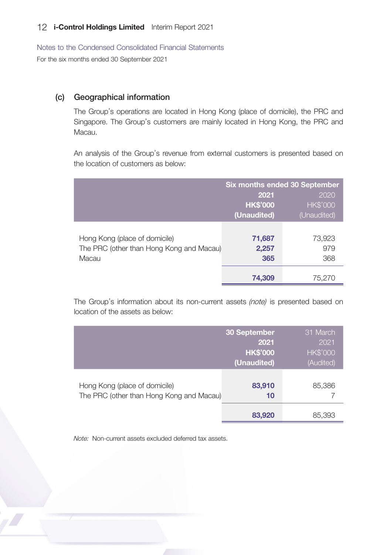Notes to the Condensed Consolidated Financial Statements For the six months ended 30 September 2021

#### (c) Geographical information

The Group's operations are located in Hong Kong (place of domicile), the PRC and Singapore. The Group's customers are mainly located in Hong Kong, the PRC and Macau.

An analysis of the Group's revenue from external customers is presented based on the location of customers as below:

|                                          | <b>Six months ended 30 September</b> |                 |  |
|------------------------------------------|--------------------------------------|-----------------|--|
|                                          | 2021                                 | 2020            |  |
|                                          | <b>HK\$'000</b>                      | <b>HK\$'000</b> |  |
|                                          | (Unaudited)                          | (Unaudited)     |  |
|                                          |                                      |                 |  |
| Hong Kong (place of domicile)            | 71,687                               | 73,923          |  |
| The PRC (other than Hong Kong and Macau) | 2,257                                | 979             |  |
| Macau                                    | 365                                  | 368             |  |
|                                          | 74,309                               | 75,270          |  |

The Group's information about its non-current assets (note) is presented based on location of the assets as below:

|                                                                           | 30 September<br>2021<br><b>HK\$'000</b><br>(Unaudited) | 31 March<br>2021<br><b>HK\$'000</b><br>(Audited) |
|---------------------------------------------------------------------------|--------------------------------------------------------|--------------------------------------------------|
| Hong Kong (place of domicile)<br>The PRC (other than Hong Kong and Macau) | 83,910<br>10                                           | 85,386                                           |
|                                                                           | 83,920                                                 | 85.393                                           |

Note: Non-current assets excluded deferred tax assets.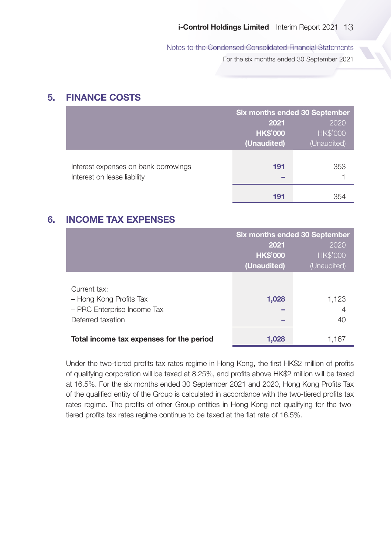Notes to the Condensed Consolidated Financial Statements

For the six months ended 30 September 2021

## 5. FINANCE COSTS

|                                      | <b>Six months ended 30 September</b> |                 |
|--------------------------------------|--------------------------------------|-----------------|
|                                      | 2021                                 | 2020            |
|                                      | <b>HK\$'000</b>                      | <b>HK\$'000</b> |
|                                      | (Unaudited)                          | (Unaudited)     |
|                                      |                                      |                 |
| Interest expenses on bank borrowings | 191                                  | 353             |
| Interest on lease liability          |                                      |                 |
|                                      | 191                                  | 354             |

# 6. INCOME TAX EXPENSES

|                                                                                             | Six months ended 30 September |                  |
|---------------------------------------------------------------------------------------------|-------------------------------|------------------|
|                                                                                             | 2021                          | 2020             |
|                                                                                             | <b>HK\$'000</b>               | <b>HK\$'000</b>  |
|                                                                                             | (Unaudited)                   | (Unaudited)      |
| Current tax:<br>- Hong Kong Profits Tax<br>- PRC Enterprise Income Tax<br>Deferred taxation | 1,028                         | 1,123<br>4<br>40 |
| Total income tax expenses for the period                                                    | 1,028                         | 1,167            |

Under the two-tiered profits tax rates regime in Hong Kong, the first HK\$2 million of profits of qualifying corporation will be taxed at 8.25%, and profits above HK\$2 million will be taxed at 16.5%. For the six months ended 30 September 2021 and 2020, Hong Kong Profits Tax of the qualified entity of the Group is calculated in accordance with the two-tiered profits tax rates regime. The profits of other Group entities in Hong Kong not qualifying for the twotiered profits tax rates regime continue to be taxed at the flat rate of 16.5%.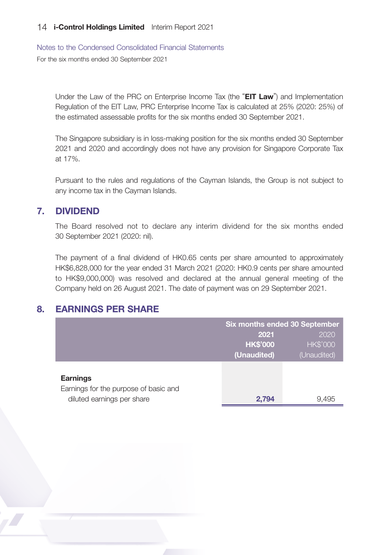Notes to the Condensed Consolidated Financial Statements

For the six months ended 30 September 2021

Under the Law of the PRC on Enterprise Income Tax (the "EIT Law") and Implementation Regulation of the EIT Law, PRC Enterprise Income Tax is calculated at 25% (2020: 25%) of the estimated assessable profits for the six months ended 30 September 2021.

The Singapore subsidiary is in loss-making position for the six months ended 30 September 2021 and 2020 and accordingly does not have any provision for Singapore Corporate Tax at 17%.

Pursuant to the rules and regulations of the Cayman Islands, the Group is not subject to any income tax in the Cayman Islands.

## 7. DIVIDEND

The Board resolved not to declare any interim dividend for the six months ended 30 September 2021 (2020: nil).

The payment of a final dividend of HK0.65 cents per share amounted to approximately HK\$6,828,000 for the year ended 31 March 2021 (2020: HK0.9 cents per share amounted to HK\$9,000,000) was resolved and declared at the annual general meeting of the Company held on 26 August 2021. The date of payment was on 29 September 2021.

# 8. EARNINGS PER SHARE

|                                                                     |                 | Six months ended 30 September |  |
|---------------------------------------------------------------------|-----------------|-------------------------------|--|
|                                                                     | 2021            | 2020                          |  |
|                                                                     | <b>HK\$'000</b> | <b>HK\$'000</b>               |  |
|                                                                     | (Unaudited)     | (Unaudited)                   |  |
|                                                                     |                 |                               |  |
| <b>Earnings</b>                                                     |                 |                               |  |
| Earnings for the purpose of basic and<br>diluted earnings per share | 2.794           | 9.495                         |  |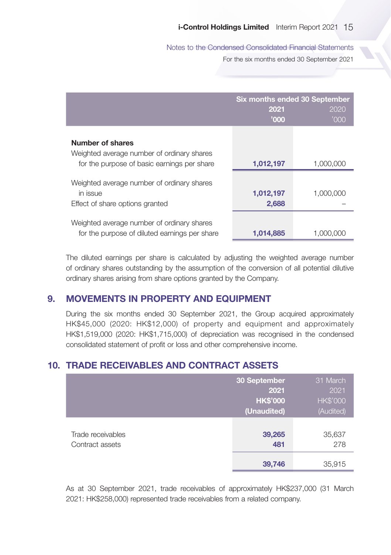Notes to the Condensed Consolidated Financial Statements

For the six months ended 30 September 2021

|                                                                                                               | 2021<br>'000       | Six months ended 30 September<br>2020<br>'000 |
|---------------------------------------------------------------------------------------------------------------|--------------------|-----------------------------------------------|
| Number of shares<br>Weighted average number of ordinary shares<br>for the purpose of basic earnings per share | 1,012,197          | 1,000,000                                     |
| Weighted average number of ordinary shares<br>in issue<br>Effect of share options granted                     | 1,012,197<br>2,688 | 1,000,000                                     |
| Weighted average number of ordinary shares<br>for the purpose of diluted earnings per share                   | 1,014,885          | 1.000.000                                     |

The diluted earnings per share is calculated by adjusting the weighted average number of ordinary shares outstanding by the assumption of the conversion of all potential dilutive ordinary shares arising from share options granted by the Company.

# 9. MOVEMENTS IN PROPERTY AND EQUIPMENT

During the six months ended 30 September 2021, the Group acquired approximately HK\$45,000 (2020: HK\$12,000) of property and equipment and approximately HK\$1,519,000 (2020: HK\$1,715,000) of depreciation was recognised in the condensed consolidated statement of profit or loss and other comprehensive income.

# 10. TRADE RECEIVABLES AND CONTRACT ASSETS

|                                      | 30 September<br>2021<br><b>HK\$'000</b><br>(Unaudited) | 31 March<br>2021<br><b>HK\$'000</b><br>(Audited) |
|--------------------------------------|--------------------------------------------------------|--------------------------------------------------|
| Trade receivables<br>Contract assets | 39,265<br>481                                          | 35,637<br>278                                    |
|                                      | 39,746                                                 | 35,915                                           |

As at 30 September 2021, trade receivables of approximately HK\$237,000 (31 March 2021: HK\$258,000) represented trade receivables from a related company.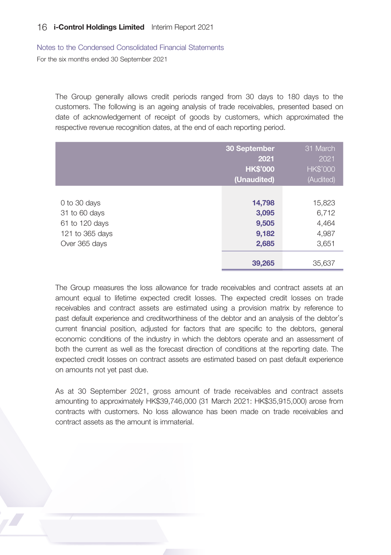Notes to the Condensed Consolidated Financial Statements

For the six months ended 30 September 2021

The Group generally allows credit periods ranged from 30 days to 180 days to the customers. The following is an ageing analysis of trade receivables, presented based on date of acknowledgement of receipt of goods by customers, which approximated the respective revenue recognition dates, at the end of each reporting period.

|                                                                                     | 30 September<br>2021<br><b>HK\$'000</b><br>(Unaudited) | 31 March<br>2021<br><b>HK\$'000</b><br>(Audited)     |
|-------------------------------------------------------------------------------------|--------------------------------------------------------|------------------------------------------------------|
| 0 to 30 days<br>31 to 60 days<br>61 to 120 days<br>121 to 365 days<br>Over 365 days | 14,798<br>3,095<br>9,505<br>9,182<br>2,685<br>39,265   | 15,823<br>6,712<br>4,464<br>4,987<br>3,651<br>35.637 |

The Group measures the loss allowance for trade receivables and contract assets at an amount equal to lifetime expected credit losses. The expected credit losses on trade receivables and contract assets are estimated using a provision matrix by reference to past default experience and creditworthiness of the debtor and an analysis of the debtor's current financial position, adjusted for factors that are specific to the debtors, general economic conditions of the industry in which the debtors operate and an assessment of both the current as well as the forecast direction of conditions at the reporting date. The expected credit losses on contract assets are estimated based on past default experience on amounts not yet past due.

As at 30 September 2021, gross amount of trade receivables and contract assets amounting to approximately HK\$39,746,000 (31 March 2021: HK\$35,915,000) arose from contracts with customers. No loss allowance has been made on trade receivables and contract assets as the amount is immaterial.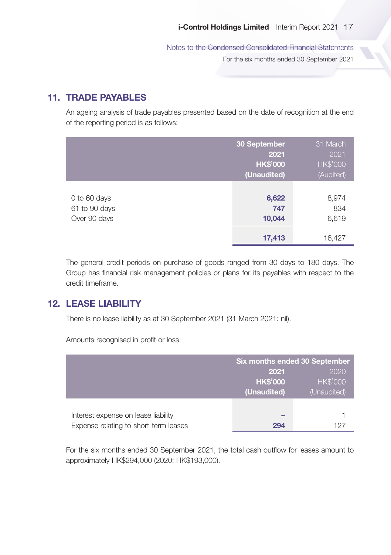Notes to the Condensed Consolidated Financial Statements

For the six months ended 30 September 2021

# 11. TRADE PAYABLES

An ageing analysis of trade payables presented based on the date of recognition at the end of the reporting period is as follows:

|                                               | 30 September<br>2021<br><b>HK\$'000</b><br>(Unaudited) | 31 March<br>2021<br><b>HK\$'000</b><br>(Audited) |
|-----------------------------------------------|--------------------------------------------------------|--------------------------------------------------|
| 0 to 60 days<br>61 to 90 days<br>Over 90 days | 6,622<br>747<br>10,044                                 | 8,974<br>834<br>6,619                            |
|                                               | 17,413                                                 | 16,427                                           |

The general credit periods on purchase of goods ranged from 30 days to 180 days. The Group has financial risk management policies or plans for its payables with respect to the credit timeframe.

# 12. LEASE LIABILITY

There is no lease liability as at 30 September 2021 (31 March 2021: nil).

Amounts recognised in profit or loss:

|                                       | Six months ended 30 September |                 |
|---------------------------------------|-------------------------------|-----------------|
|                                       | 2020<br>2021                  |                 |
|                                       | <b>HK\$'000</b>               | <b>HK\$'000</b> |
|                                       | (Unaudited)                   | (Unaudited)     |
|                                       |                               |                 |
| Interest expense on lease liability   | _                             |                 |
| Expense relating to short-term leases | 294                           |                 |

For the six months ended 30 September 2021, the total cash outflow for leases amount to approximately HK\$294,000 (2020: HK\$193,000).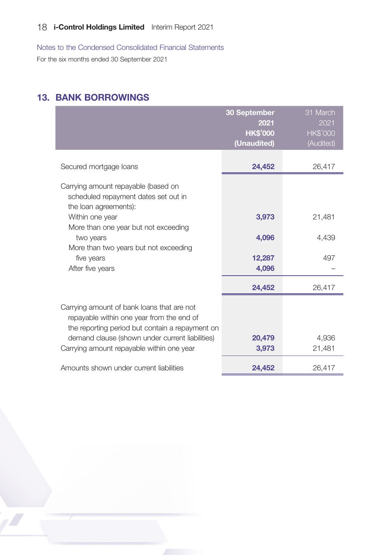Notes to the Condensed Consolidated Financial Statements

For the six months ended 30 September 2021

# 13. BANK BORROWINGS

|                                                                                                                                            | 30 September<br>2021 | 31 March<br>2021 |
|--------------------------------------------------------------------------------------------------------------------------------------------|----------------------|------------------|
|                                                                                                                                            | <b>HK\$'000</b>      | <b>HK\$'000</b>  |
|                                                                                                                                            | (Unaudited)          | (Audited)        |
| Secured mortgage loans                                                                                                                     | 24,452               | 26,417           |
| Carrying amount repayable (based on<br>scheduled repayment dates set out in<br>the loan agreements):                                       |                      |                  |
| Within one year<br>More than one year but not exceeding                                                                                    | 3,973                | 21,481           |
| two years<br>More than two years but not exceeding                                                                                         | 4,096                | 4,439            |
| five years                                                                                                                                 | 12,287               | 497              |
| After five years                                                                                                                           | 4,096                |                  |
|                                                                                                                                            | 24,452               | 26,417           |
| Carrying amount of bank loans that are not<br>repayable within one year from the end of<br>the reporting period but contain a repayment on |                      |                  |
| demand clause (shown under current liabilities)                                                                                            | 20,479               | 4.936            |
| Carrying amount repayable within one year                                                                                                  | 3,973                | 21,481           |
| Amounts shown under current liabilities                                                                                                    | 24,452               | 26,417           |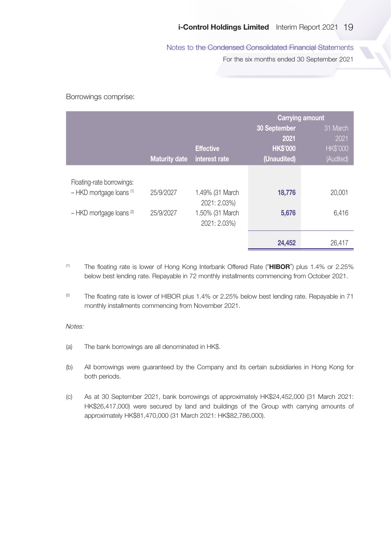#### Notes to the Condensed Consolidated Financial Statements

For the six months ended 30 September 2021

Borrowings comprise:

|                              |                      |                  | <b>Carrying amount</b> |                 |
|------------------------------|----------------------|------------------|------------------------|-----------------|
|                              |                      |                  | 30 September           | 31 March        |
|                              |                      |                  | 2021                   | 2021            |
|                              |                      | <b>Effective</b> | <b>HK\$'000</b>        | <b>HK\$'000</b> |
|                              | <b>Maturity date</b> | interest rate    | (Unaudited)            | (Audited)       |
|                              |                      |                  |                        |                 |
| Floating-rate borrowings:    |                      |                  |                        |                 |
| $-$ HKD mortgage loans $(1)$ | 25/9/2027            | 1.49% (31 March  | 18,776                 | 20,001          |
|                              |                      | 2021: 2.03%)     |                        |                 |
| $-$ HKD mortgage loans $(2)$ | 25/9/2027            | 1.50% (31 March  | 5,676                  | 6,416           |
|                              |                      | 2021: 2.03%)     |                        |                 |
|                              |                      |                  |                        |                 |
|                              |                      |                  | 24,452                 | 26,417          |

- <sup>(1)</sup> The floating rate is lower of Hong Kong Interbank Offered Rate ("HIBOR") plus 1.4% or 2.25% below best lending rate. Repayable in 72 monthly installments commencing from October 2021.
- <sup>(2)</sup> The floating rate is lower of HIBOR plus 1.4% or 2.25% below best lending rate. Repayable in 71 monthly installments commencing from November 2021.

#### Notes:

- (a) The bank borrowings are all denominated in HK\$.
- (b) All borrowings were guaranteed by the Company and its certain subsidiaries in Hong Kong for both periods.
- (c) As at 30 September 2021, bank borrowings of approximately HK\$24,452,000 (31 March 2021: HK\$26,417,000) were secured by land and buildings of the Group with carrying amounts of approximately HK\$81,470,000 (31 March 2021: HK\$82,786,000).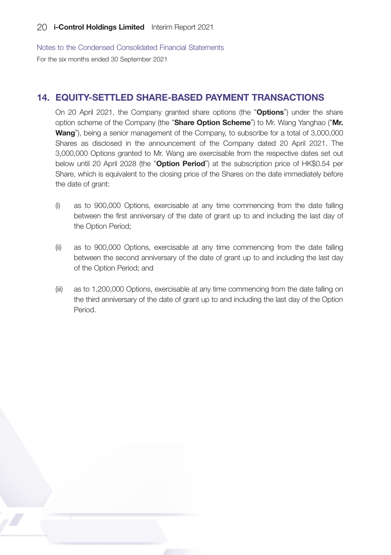Notes to the Condensed Consolidated Financial Statements For the six months ended 30 September 2021

# 14. EQUITY-SETTLED SHARE-BASED PAYMENT TRANSACTIONS

On 20 April 2021, the Company granted share options (the "**Options**") under the share option scheme of the Company (the "Share Option Scheme") to Mr. Wang Yanghao ("Mr. Wang"), being a senior management of the Company, to subscribe for a total of 3,000,000 Shares as disclosed in the announcement of the Company dated 20 April 2021. The 3,000,000 Options granted to Mr. Wang are exercisable from the respective dates set out below until 20 April 2028 (the "Option Period") at the subscription price of HK\$0.54 per Share, which is equivalent to the closing price of the Shares on the date immediately before the date of grant:

- (i) as to 900,000 Options, exercisable at any time commencing from the date falling between the first anniversary of the date of grant up to and including the last day of the Option Period;
- (ii) as to 900,000 Options, exercisable at any time commencing from the date falling between the second anniversary of the date of grant up to and including the last day of the Option Period; and
- (iii) as to 1,200,000 Options, exercisable at any time commencing from the date falling on the third anniversary of the date of grant up to and including the last day of the Option Period.

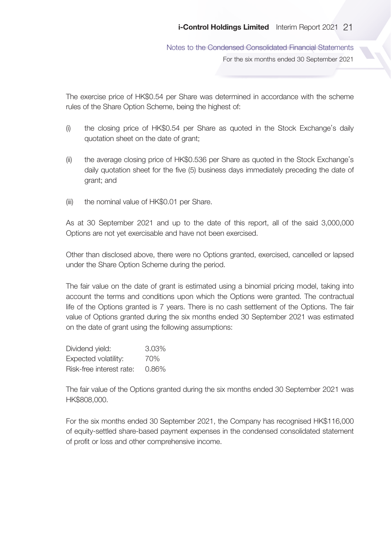Notes to the Condensed Consolidated Financial Statements For the six months ended 30 September 2021

The exercise price of HK\$0.54 per Share was determined in accordance with the scheme rules of the Share Option Scheme, being the highest of:

- (i) the closing price of HK\$0.54 per Share as quoted in the Stock Exchange's daily quotation sheet on the date of grant;
- (ii) the average closing price of HK\$0.536 per Share as quoted in the Stock Exchange's daily quotation sheet for the five (5) business days immediately preceding the date of grant; and
- (iii) the nominal value of HK\$0.01 per Share.

As at 30 September 2021 and up to the date of this report, all of the said 3,000,000 Options are not yet exercisable and have not been exercised.

Other than disclosed above, there were no Options granted, exercised, cancelled or lapsed under the Share Option Scheme during the period.

The fair value on the date of grant is estimated using a binomial pricing model, taking into account the terms and conditions upon which the Options were granted. The contractual life of the Options granted is 7 years. There is no cash settlement of the Options. The fair value of Options granted during the six months ended 30 September 2021 was estimated on the date of grant using the following assumptions:

| Dividend yield:          | 3.03% |
|--------------------------|-------|
| Expected volatility:     | 70%   |
| Risk-free interest rate: | 0.86% |

The fair value of the Options granted during the six months ended 30 September 2021 was HK\$808,000.

For the six months ended 30 September 2021, the Company has recognised HK\$116,000 of equity-settled share-based payment expenses in the condensed consolidated statement of profit or loss and other comprehensive income.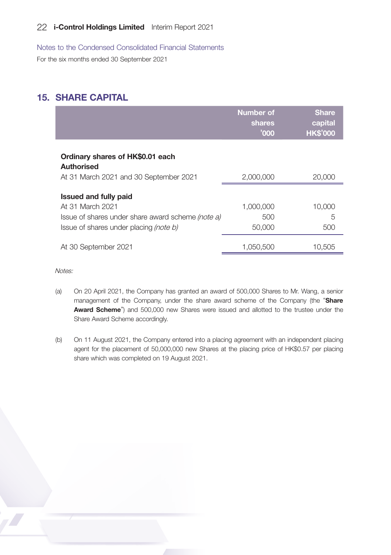Notes to the Condensed Consolidated Financial Statements

For the six months ended 30 September 2021

# 15. SHARE CAPITAL

|                                                                                                    | <b>Number of</b><br>shares<br>'000 | <b>Share</b><br>capital<br><b>HK\$'000</b> |
|----------------------------------------------------------------------------------------------------|------------------------------------|--------------------------------------------|
| Ordinary shares of HK\$0.01 each<br><b>Authorised</b><br>At 31 March 2021 and 30 September 2021    | 2,000,000                          | 20,000                                     |
| <b>Issued and fully paid</b><br>At 31 March 2021                                                   | 1,000,000                          | 10,000                                     |
| Issue of shares under share award scheme (note a)<br>Issue of shares under placing <i>(note b)</i> | 500<br>50,000                      | 5<br>500                                   |
| At 30 September 2021                                                                               | 1.050.500                          | 10.505                                     |

Notes:

- (a) On 20 April 2021, the Company has granted an award of 500,000 Shares to Mr. Wang, a senior management of the Company, under the share award scheme of the Company (the "Share Award Scheme") and 500,000 new Shares were issued and allotted to the trustee under the Share Award Scheme accordingly.
- (b) On 11 August 2021, the Company entered into a placing agreement with an independent placing agent for the placement of 50,000,000 new Shares at the placing price of HK\$0.57 per placing share which was completed on 19 August 2021.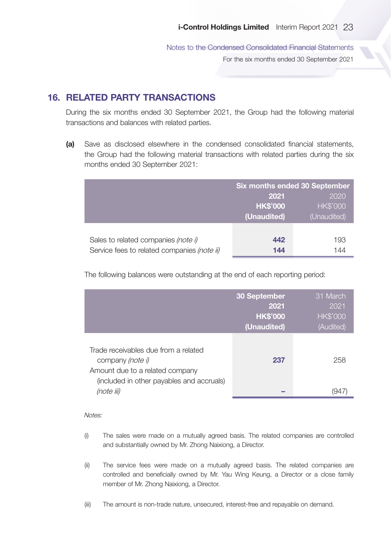Notes to the Condensed Consolidated Financial Statements For the six months ended 30 September 2021

# 16. RELATED PARTY TRANSACTIONS

During the six months ended 30 September 2021, the Group had the following material transactions and balances with related parties.

(a) Save as disclosed elsewhere in the condensed consolidated financial statements, the Group had the following material transactions with related parties during the six months ended 30 September 2021:

|                                             | <b>Six months ended 30 September</b> |                 |
|---------------------------------------------|--------------------------------------|-----------------|
|                                             | 2020<br>2021                         |                 |
|                                             | <b>HK\$'000</b>                      | <b>HK\$'000</b> |
|                                             | (Unaudited)                          | (Unaudited)     |
|                                             |                                      |                 |
| Sales to related companies (note i)         | 442                                  | 193             |
| Service fees to related companies (note ii) | 144                                  | 144             |

The following balances were outstanding at the end of each reporting period:

|                                                                                                                                                        | 30 September<br>2021<br><b>HK\$'000</b><br>(Unaudited) | 31 March<br>2021<br><b>HK\$'000</b><br>(Audited) |
|--------------------------------------------------------------------------------------------------------------------------------------------------------|--------------------------------------------------------|--------------------------------------------------|
| Trade receivables due from a related<br>company (note i)<br>Amount due to a related company<br>(included in other payables and accruals)<br>(note iii) | 237                                                    | 258<br>(947                                      |

#### Notes<sup>.</sup>

- (i) The sales were made on a mutually agreed basis. The related companies are controlled and substantially owned by Mr. Zhong Naixiong, a Director.
- (ii) The service fees were made on a mutually agreed basis. The related companies are controlled and beneficially owned by Mr. Yau Wing Keung, a Director or a close family member of Mr. Zhong Naixiong, a Director.
- (iii) The amount is non-trade nature, unsecured, interest-free and repayable on demand.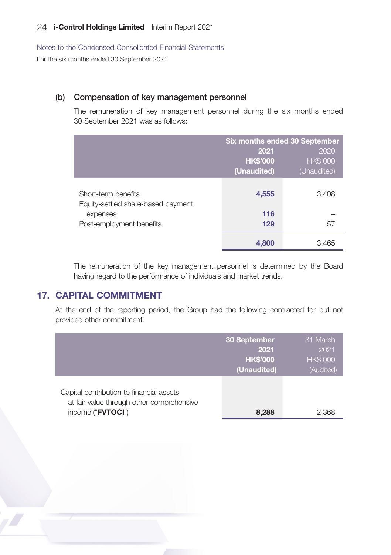Notes to the Condensed Consolidated Financial Statements For the six months ended 30 September 2021

#### (b) Compensation of key management personnel

The remuneration of key management personnel during the six months ended 30 September 2021 was as follows:

|                                                           | Six months ended 30 September |                 |
|-----------------------------------------------------------|-------------------------------|-----------------|
|                                                           | 2020<br>2021                  |                 |
|                                                           | <b>HK\$'000</b>               | <b>HK\$'000</b> |
|                                                           | (Unaudited)                   | (Unaudited)     |
| Short-term benefits<br>Equity-settled share-based payment | 4,555                         | 3,408           |
| expenses                                                  | 116                           |                 |
| Post-employment benefits                                  | 129                           | 57              |
|                                                           | 4,800                         | 3,465           |

The remuneration of the key management personnel is determined by the Board having regard to the performance of individuals and market trends.

# 17. CAPITAL COMMITMENT

At the end of the reporting period, the Group had the following contracted for but not provided other commitment:

|                                                                                                            | 30 September<br>2021<br><b>HK\$'000</b><br>(Unaudited) | 31 March<br>2021<br><b>HK\$'000</b><br>(Audited) |
|------------------------------------------------------------------------------------------------------------|--------------------------------------------------------|--------------------------------------------------|
| Capital contribution to financial assets<br>at fair value through other comprehensive<br>income ("FVTOCI") | 8,288                                                  | 2.368                                            |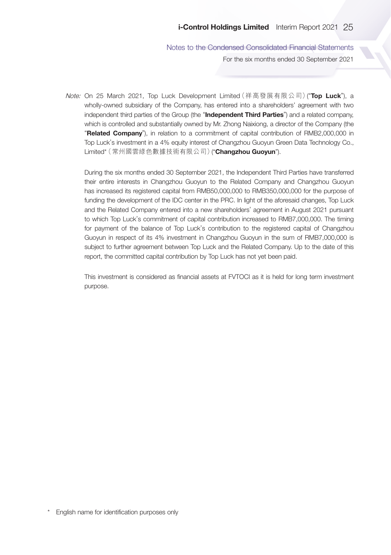Notes to the Condensed Consolidated Financial Statements For the six months ended 30 September 2021

Note: On 25 March 2021, Top Luck Development Limited (祥高發展有限公司) ("Top Luck"), a wholly-owned subsidiary of the Company, has entered into a shareholders' agreement with two independent third parties of the Group (the "Independent Third Parties") and a related company, which is controlled and substantially owned by Mr. Zhong Naixiong, a director of the Company (the "Related Company"), in relation to a commitment of capital contribution of RMB2,000,000 in Top Luck's investment in a 4% equity interest of Changzhou Guoyun Green Data Technology Co., Limited\*(常州國雲綠色數據技術有限公司)("Changzhou Guoyun").

During the six months ended 30 September 2021, the Independent Third Parties have transferred their entire interests in Changzhou Guoyun to the Related Company and Changzhou Guoyun has increased its registered capital from RMB50,000,000 to RMB350,000,000 for the purpose of funding the development of the IDC center in the PRC. In light of the aforesaid changes, Top Luck and the Related Company entered into a new shareholders' agreement in August 2021 pursuant to which Top Luck's commitment of capital contribution increased to RMB7,000,000. The timing for payment of the balance of Top Luck's contribution to the registered capital of Changzhou Guoyun in respect of its 4% investment in Changzhou Guoyun in the sum of RMB7,000,000 is subject to further agreement between Top Luck and the Related Company. Up to the date of this report, the committed capital contribution by Top Luck has not yet been paid.

This investment is considered as financial assets at FVTOCI as it is held for long term investment purpose.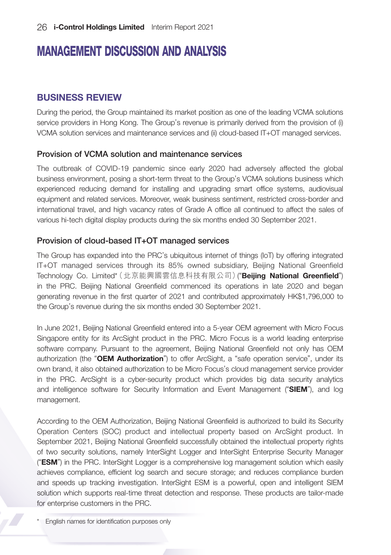# MANAGEMENT DISCUSSION AND ANALYSIS

# BUSINESS REVIEW

During the period, the Group maintained its market position as one of the leading VCMA solutions service providers in Hong Kong. The Group's revenue is primarily derived from the provision of (i) VCMA solution services and maintenance services and (ii) cloud-based IT+OT managed services.

### Provision of VCMA solution and maintenance services

The outbreak of COVID-19 pandemic since early 2020 had adversely affected the global business environment, posing a short-term threat to the Group's VCMA solutions business which experienced reducing demand for installing and upgrading smart office systems, audiovisual equipment and related services. Moreover, weak business sentiment, restricted cross-border and international travel, and high vacancy rates of Grade A office all continued to affect the sales of various hi-tech digital display products during the six months ended 30 September 2021.

## Provision of cloud-based IT+OT managed services

The Group has expanded into the PRC's ubiquitous internet of things (IoT) by offering integrated IT+OT managed services through its 85% owned subsidiary, Beijing National Greenfield Technology Co. Limited\* (北京能興國雲信息科技有限公司) ("**Beijing National Greenfield**") in the PRC. Beijing National Greenfield commenced its operations in late 2020 and began generating revenue in the first quarter of 2021 and contributed approximately HK\$1,796,000 to the Group's revenue during the six months ended 30 September 2021.

In June 2021, Beijing National Greenfield entered into a 5-year OEM agreement with Micro Focus Singapore entity for its ArcSight product in the PRC. Micro Focus is a world leading enterprise software company. Pursuant to the agreement, Beijing National Greenfield not only has OEM authorization (the "OEM Authorization") to offer ArcSight, a "safe operation service", under its own brand, it also obtained authorization to be Micro Focus's cloud management service provider in the PRC. ArcSight is a cyber-security product which provides big data security analytics and intelligence software for Security Information and Event Management ("SIEM"), and log management.

According to the OEM Authorization, Beijing National Greenfield is authorized to build its Security Operation Centers (SOC) product and intellectual property based on ArcSight product. In September 2021, Beijing National Greenfield successfully obtained the intellectual property rights of two security solutions, namely InterSight Logger and InterSight Enterprise Security Manager ("ESM") in the PRC. InterSight Logger is a comprehensive log management solution which easily achieves compliance, efficient log search and secure storage; and reduces compliance burden and speeds up tracking investigation. InterSight ESM is a powerful, open and intelligent SIEM solution which supports real-time threat detection and response. These products are tailor-made for enterprise customers in the PRC.

\* English names for identification purposes only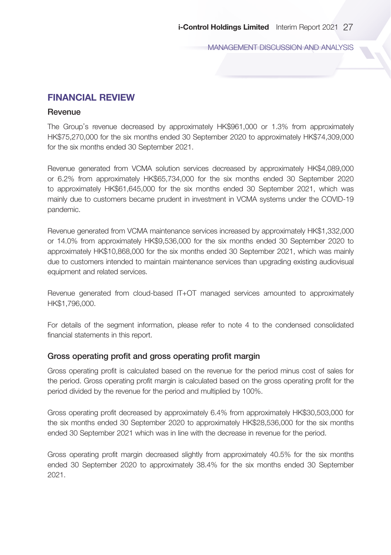MANAGEMENT DISCUSSION AND ANALYSIS

## FINANCIAL REVIEW

#### **Revenue**

The Group's revenue decreased by approximately HK\$961,000 or 1.3% from approximately HK\$75,270,000 for the six months ended 30 September 2020 to approximately HK\$74,309,000 for the six months ended 30 September 2021.

Revenue generated from VCMA solution services decreased by approximately HK\$4,089,000 or 6.2% from approximately HK\$65,734,000 for the six months ended 30 September 2020 to approximately HK\$61,645,000 for the six months ended 30 September 2021, which was mainly due to customers became prudent in investment in VCMA systems under the COVID-19 pandemic.

Revenue generated from VCMA maintenance services increased by approximately HK\$1,332,000 or 14.0% from approximately HK\$9,536,000 for the six months ended 30 September 2020 to approximately HK\$10,868,000 for the six months ended 30 September 2021, which was mainly due to customers intended to maintain maintenance services than upgrading existing audiovisual equipment and related services.

Revenue generated from cloud-based IT+OT managed services amounted to approximately HK\$1,796,000.

For details of the segment information, please refer to note 4 to the condensed consolidated financial statements in this report.

#### Gross operating profit and gross operating profit margin

Gross operating profit is calculated based on the revenue for the period minus cost of sales for the period. Gross operating profit margin is calculated based on the gross operating profit for the period divided by the revenue for the period and multiplied by 100%.

Gross operating profit decreased by approximately 6.4% from approximately HK\$30,503,000 for the six months ended 30 September 2020 to approximately HK\$28,536,000 for the six months ended 30 September 2021 which was in line with the decrease in revenue for the period.

Gross operating profit margin decreased slightly from approximately 40.5% for the six months ended 30 September 2020 to approximately 38.4% for the six months ended 30 September 2021.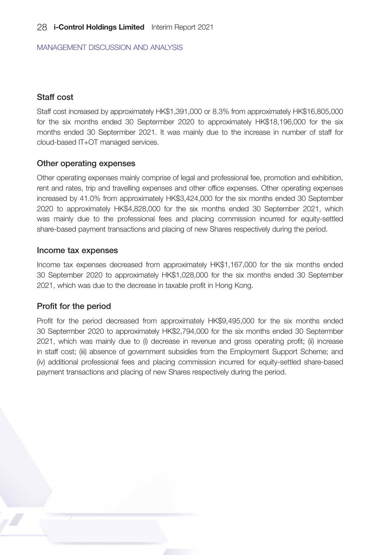MANAGEMENT DISCUSSION AND ANALYSIS

## Staff cost

Staff cost increased by approximately HK\$1,391,000 or 8.3% from approximately HK\$16,805,000 for the six months ended 30 Septermber 2020 to approximately HK\$18,196,000 for the six months ended 30 Septermber 2021. It was mainly due to the increase in number of staff for cloud-based IT+OT managed services.

### Other operating expenses

Other operating expenses mainly comprise of legal and professional fee, promotion and exhibition, rent and rates, trip and travelling expenses and other office expenses. Other operating expenses increased by 41.0% from approximately HK\$3,424,000 for the six months ended 30 September 2020 to approximately HK\$4,828,000 for the six months ended 30 September 2021, which was mainly due to the professional fees and placing commission incurred for equity-settled share-based payment transactions and placing of new Shares respectively during the period.

#### Income tax expenses

Income tax expenses decreased from approximately HK\$1,167,000 for the six months ended 30 September 2020 to approximately HK\$1,028,000 for the six months ended 30 September 2021, which was due to the decrease in taxable profit in Hong Kong.

## Profit for the period

Profit for the period decreased from approximately HK\$9,495,000 for the six months ended 30 Septermber 2020 to approximately HK\$2,794,000 for the six months ended 30 Septermber 2021, which was mainly due to (i) decrease in revenue and gross operating profit; (ii) increase in staff cost; (iii) absence of government subsidies from the Employment Support Scheme; and (iv) additional professional fees and placing commission incurred for equity-settled share-based payment transactions and placing of new Shares respectively during the period.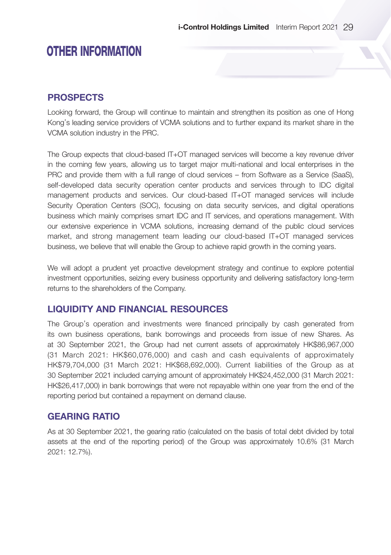# PROSPECTS

Looking forward, the Group will continue to maintain and strengthen its position as one of Hong Kong's leading service providers of VCMA solutions and to further expand its market share in the VCMA solution industry in the PRC.

The Group expects that cloud-based IT+OT managed services will become a key revenue driver in the coming few years, allowing us to target major multi-national and local enterprises in the PRC and provide them with a full range of cloud services – from Software as a Service (SaaS), self-developed data security operation center products and services through to IDC digital management products and services. Our cloud-based IT+OT managed services will include Security Operation Centers (SOC), focusing on data security services, and digital operations business which mainly comprises smart IDC and IT services, and operations management. With our extensive experience in VCMA solutions, increasing demand of the public cloud services market, and strong management team leading our cloud-based IT+OT managed services business, we believe that will enable the Group to achieve rapid growth in the coming years.

We will adopt a prudent yet proactive development strategy and continue to explore potential investment opportunities, seizing every business opportunity and delivering satisfactory long-term returns to the shareholders of the Company.

# LIQUIDITY AND FINANCIAL RESOURCES

The Group's operation and investments were financed principally by cash generated from its own business operations, bank borrowings and proceeds from issue of new Shares. As at 30 September 2021, the Group had net current assets of approximately HK\$86,967,000 (31 March 2021: HK\$60,076,000) and cash and cash equivalents of approximately HK\$79,704,000 (31 March 2021: HK\$68,692,000). Current liabilities of the Group as at 30 September 2021 included carrying amount of approximately HK\$24,452,000 (31 March 2021: HK\$26,417,000) in bank borrowings that were not repayable within one year from the end of the reporting period but contained a repayment on demand clause.

# GEARING RATIO

As at 30 September 2021, the gearing ratio (calculated on the basis of total debt divided by total assets at the end of the reporting period) of the Group was approximately 10.6% (31 March 2021: 12.7%).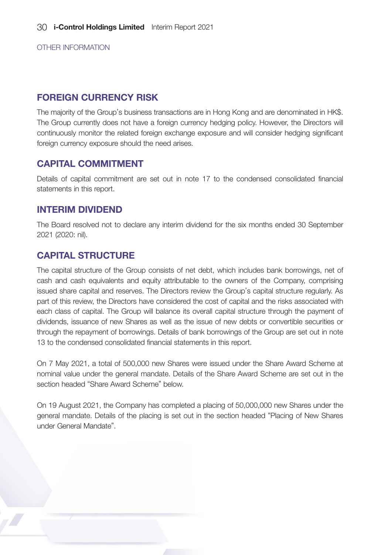## FOREIGN CURRENCY RISK

The majority of the Group's business transactions are in Hong Kong and are denominated in HK\$. The Group currently does not have a foreign currency hedging policy. However, the Directors will continuously monitor the related foreign exchange exposure and will consider hedging significant foreign currency exposure should the need arises.

# CAPITAL COMMITMENT

Details of capital commitment are set out in note 17 to the condensed consolidated financial statements in this report.

## INTERIM DIVIDEND

The Board resolved not to declare any interim dividend for the six months ended 30 September 2021 (2020: nil).

# CAPITAL STRUCTURE

The capital structure of the Group consists of net debt, which includes bank borrowings, net of cash and cash equivalents and equity attributable to the owners of the Company, comprising issued share capital and reserves. The Directors review the Group's capital structure regularly. As part of this review, the Directors have considered the cost of capital and the risks associated with each class of capital. The Group will balance its overall capital structure through the payment of dividends, issuance of new Shares as well as the issue of new debts or convertible securities or through the repayment of borrowings. Details of bank borrowings of the Group are set out in note 13 to the condensed consolidated financial statements in this report.

On 7 May 2021, a total of 500,000 new Shares were issued under the Share Award Scheme at nominal value under the general mandate. Details of the Share Award Scheme are set out in the section headed "Share Award Scheme" below.

On 19 August 2021, the Company has completed a placing of 50,000,000 new Shares under the general mandate. Details of the placing is set out in the section headed "Placing of New Shares under General Mandate".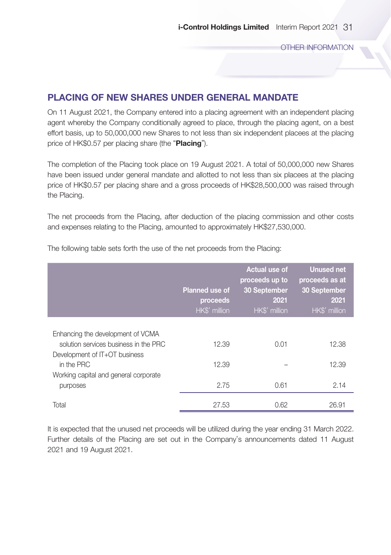# PLACING OF NEW SHARES UNDER GENERAL MANDATE

On 11 August 2021, the Company entered into a placing agreement with an independent placing agent whereby the Company conditionally agreed to place, through the placing agent, on a best effort basis, up to 50,000,000 new Shares to not less than six independent placees at the placing price of HK\$0.57 per placing share (the "Placing").

The completion of the Placing took place on 19 August 2021. A total of 50,000,000 new Shares have been issued under general mandate and allotted to not less than six placees at the placing price of HK\$0.57 per placing share and a gross proceeds of HK\$28,500,000 was raised through the Placing.

The net proceeds from the Placing, after deduction of the placing commission and other costs and expenses relating to the Placing, amounted to approximately HK\$27,530,000.

|                                                                            | <b>Planned use of</b><br>proceeds<br>HK\$' million | Actual use of<br>proceeds up to<br>30 September<br>2021<br>HK\$' million | <b>Unused net</b><br>proceeds as at<br>30 September<br>2021<br>HK\$' million |
|----------------------------------------------------------------------------|----------------------------------------------------|--------------------------------------------------------------------------|------------------------------------------------------------------------------|
|                                                                            |                                                    |                                                                          |                                                                              |
| Enhancing the development of VCMA<br>solution services business in the PRC | 12.39                                              | 0.01                                                                     | 12.38                                                                        |
| Development of IT+OT business                                              |                                                    |                                                                          |                                                                              |
| in the PRC                                                                 | 12.39                                              |                                                                          | 12.39                                                                        |
| Working capital and general corporate                                      |                                                    |                                                                          |                                                                              |
| purposes                                                                   | 2.75                                               | 0.61                                                                     | 2.14                                                                         |
| Total                                                                      | 27.53                                              | 0.62                                                                     | 26.91                                                                        |

The following table sets forth the use of the net proceeds from the Placing:

It is expected that the unused net proceeds will be utilized during the year ending 31 March 2022. Further details of the Placing are set out in the Company's announcements dated 11 August 2021 and 19 August 2021.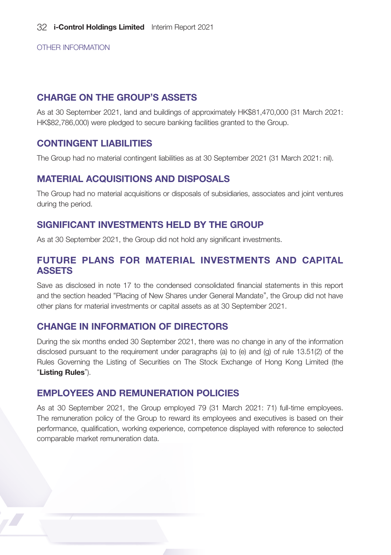## CHARGE ON THE GROUP'S ASSETS

As at 30 September 2021, land and buildings of approximately HK\$81,470,000 (31 March 2021: HK\$82,786,000) were pledged to secure banking facilities granted to the Group.

## CONTINGENT LIABILITIES

The Group had no material contingent liabilities as at 30 September 2021 (31 March 2021: nil).

# MATERIAL ACQUISITIONS AND DISPOSALS

The Group had no material acquisitions or disposals of subsidiaries, associates and joint ventures during the period.

## SIGNIFICANT INVESTMENTS HELD BY THE GROUP

As at 30 September 2021, the Group did not hold any significant investments.

# FUTURE PLANS FOR MATERIAL INVESTMENTS AND CAPITAL ASSETS

Save as disclosed in note 17 to the condensed consolidated financial statements in this report and the section headed "Placing of New Shares under General Mandate", the Group did not have other plans for material investments or capital assets as at 30 September 2021.

# CHANGE IN INFORMATION OF DIRECTORS

During the six months ended 30 September 2021, there was no change in any of the information disclosed pursuant to the requirement under paragraphs (a) to (e) and (g) of rule 13.51(2) of the Rules Governing the Listing of Securities on The Stock Exchange of Hong Kong Limited (the "Listing Rules").

# EMPLOYEES AND REMUNERATION POLICIES

As at 30 September 2021, the Group employed 79 (31 March 2021: 71) full-time employees. The remuneration policy of the Group to reward its employees and executives is based on their performance, qualification, working experience, competence displayed with reference to selected comparable market remuneration data.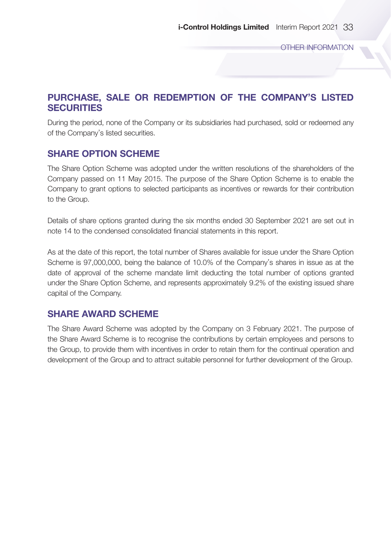# PURCHASE, SALE OR REDEMPTION OF THE COMPANY'S LISTED **SECURITIES**

During the period, none of the Company or its subsidiaries had purchased, sold or redeemed any of the Company's listed securities.

# SHARE OPTION SCHEME

The Share Option Scheme was adopted under the written resolutions of the shareholders of the Company passed on 11 May 2015. The purpose of the Share Option Scheme is to enable the Company to grant options to selected participants as incentives or rewards for their contribution to the Group.

Details of share options granted during the six months ended 30 September 2021 are set out in note 14 to the condensed consolidated financial statements in this report.

As at the date of this report, the total number of Shares available for issue under the Share Option Scheme is 97,000,000, being the balance of 10.0% of the Company's shares in issue as at the date of approval of the scheme mandate limit deducting the total number of options granted under the Share Option Scheme, and represents approximately 9.2% of the existing issued share capital of the Company.

# SHARE AWARD SCHEME

The Share Award Scheme was adopted by the Company on 3 February 2021. The purpose of the Share Award Scheme is to recognise the contributions by certain employees and persons to the Group, to provide them with incentives in order to retain them for the continual operation and development of the Group and to attract suitable personnel for further development of the Group.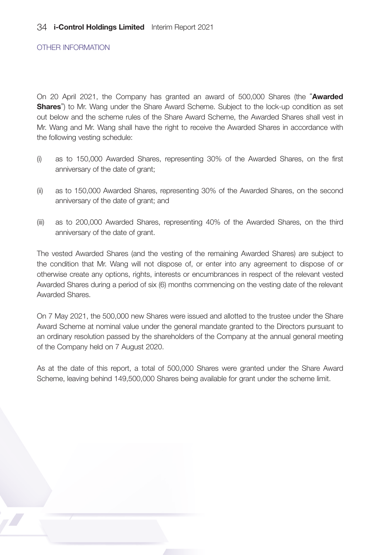On 20 April 2021, the Company has granted an award of 500,000 Shares (the "Awarded **Shares**") to Mr. Wang under the Share Award Scheme. Subject to the lock-up condition as set out below and the scheme rules of the Share Award Scheme, the Awarded Shares shall vest in Mr. Wang and Mr. Wang shall have the right to receive the Awarded Shares in accordance with the following vesting schedule:

- (i) as to 150,000 Awarded Shares, representing 30% of the Awarded Shares, on the first anniversary of the date of grant;
- (ii) as to 150,000 Awarded Shares, representing 30% of the Awarded Shares, on the second anniversary of the date of grant; and
- (iii) as to 200,000 Awarded Shares, representing 40% of the Awarded Shares, on the third anniversary of the date of grant.

The vested Awarded Shares (and the vesting of the remaining Awarded Shares) are subject to the condition that Mr. Wang will not dispose of, or enter into any agreement to dispose of or otherwise create any options, rights, interests or encumbrances in respect of the relevant vested Awarded Shares during a period of six (6) months commencing on the vesting date of the relevant Awarded Shares.

On 7 May 2021, the 500,000 new Shares were issued and allotted to the trustee under the Share Award Scheme at nominal value under the general mandate granted to the Directors pursuant to an ordinary resolution passed by the shareholders of the Company at the annual general meeting of the Company held on 7 August 2020.

As at the date of this report, a total of 500,000 Shares were granted under the Share Award Scheme, leaving behind 149,500,000 Shares being available for grant under the scheme limit.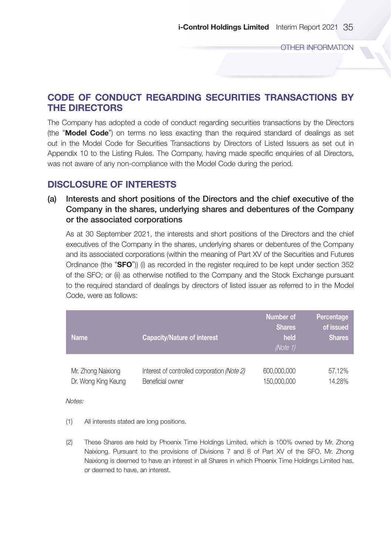# CODE OF CONDUCT REGARDING SECURITIES TRANSACTIONS BY THE DIRECTORS

The Company has adopted a code of conduct regarding securities transactions by the Directors (the "Model Code") on terms no less exacting than the required standard of dealings as set out in the Model Code for Securities Transactions by Directors of Listed Issuers as set out in Appendix 10 to the Listing Rules. The Company, having made specific enquiries of all Directors, was not aware of any non-compliance with the Model Code during the period.

## DISCLOSURE OF INTERESTS

(a) Interests and short positions of the Directors and the chief executive of the Company in the shares, underlying shares and debentures of the Company or the associated corporations

As at 30 September 2021, the interests and short positions of the Directors and the chief executives of the Company in the shares, underlying shares or debentures of the Company and its associated corporations (within the meaning of Part XV of the Securities and Futures Ordinance (the "SFO")) (i) as recorded in the register required to be kept under section 352 of the SFO; or (ii) as otherwise notified to the Company and the Stock Exchange pursuant to the required standard of dealings by directors of listed issuer as referred to in the Model Code, were as follows:

| <b>Name</b>         | <b>Capacity/Nature of interest</b>          | Number of<br>Shares<br>held<br>(Note 1) | Percentage<br>of issued<br><b>Shares</b> |
|---------------------|---------------------------------------------|-----------------------------------------|------------------------------------------|
| Mr. Zhong Naixiong  | Interest of controlled corporation (Note 2) | 600,000,000                             | 57.12%                                   |
| Dr. Wong King Keung | Beneficial owner                            | 150,000,000                             | 14.28%                                   |

Notes:

- (1) All interests stated are long positions.
- (2) These Shares are held by Phoenix Time Holdings Limited, which is 100% owned by Mr. Zhong Naixiong. Pursuant to the provisions of Divisions 7 and 8 of Part XV of the SFO, Mr. Zhong Naixiong is deemed to have an interest in all Shares in which Phoenix Time Holdings Limited has, or deemed to have, an interest.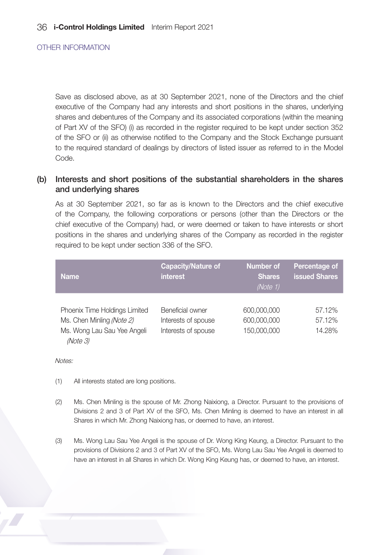Save as disclosed above, as at 30 September 2021, none of the Directors and the chief executive of the Company had any interests and short positions in the shares, underlying shares and debentures of the Company and its associated corporations (within the meaning of Part XV of the SFO) (i) as recorded in the register required to be kept under section 352 of the SFO or (ii) as otherwise notified to the Company and the Stock Exchange pursuant to the required standard of dealings by directors of listed issuer as referred to in the Model Code.

### (b) Interests and short positions of the substantial shareholders in the shares and underlying shares

As at 30 September 2021, so far as is known to the Directors and the chief executive of the Company, the following corporations or persons (other than the Directors or the chief executive of the Company) had, or were deemed or taken to have interests or short positions in the shares and underlying shares of the Company as recorded in the register required to be kept under section 336 of the SFO.

| <b>Name</b>                   | <b>Capacity/Nature of</b><br>interest | Number of<br><b>Shares</b><br>(Note 1) | Percentage of<br><b>issued Shares</b> |
|-------------------------------|---------------------------------------|----------------------------------------|---------------------------------------|
|                               |                                       |                                        |                                       |
| Phoenix Time Holdings Limited | Beneficial owner                      | 600,000,000                            | 57.12%                                |
| Ms. Chen Minling (Note 2)     | Interests of spouse                   | 600,000,000                            | 57.12%                                |
| Ms. Wong Lau Sau Yee Angeli   | Interests of spouse                   | 150,000,000                            | 14.28%                                |
| (Note 3)                      |                                       |                                        |                                       |

Notes:

- (1) All interests stated are long positions.
- (2) Ms. Chen Minling is the spouse of Mr. Zhong Naixiong, a Director. Pursuant to the provisions of Divisions 2 and 3 of Part XV of the SFO, Ms. Chen Minling is deemed to have an interest in all Shares in which Mr. Zhong Naixiong has, or deemed to have, an interest.
- (3) Ms. Wong Lau Sau Yee Angeli is the spouse of Dr. Wong King Keung, a Director. Pursuant to the provisions of Divisions 2 and 3 of Part XV of the SFO, Ms. Wong Lau Sau Yee Angeli is deemed to have an interest in all Shares in which Dr. Wong King Keung has, or deemed to have, an interest.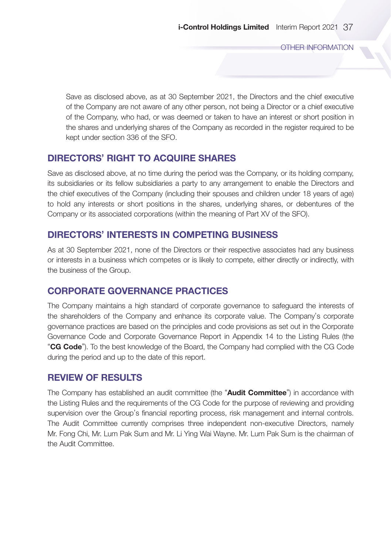Save as disclosed above, as at 30 September 2021, the Directors and the chief executive of the Company are not aware of any other person, not being a Director or a chief executive of the Company, who had, or was deemed or taken to have an interest or short position in the shares and underlying shares of the Company as recorded in the register required to be kept under section 336 of the SFO.

## DIRECTORS' RIGHT TO ACQUIRE SHARES

Save as disclosed above, at no time during the period was the Company, or its holding company, its subsidiaries or its fellow subsidiaries a party to any arrangement to enable the Directors and the chief executives of the Company (including their spouses and children under 18 years of age) to hold any interests or short positions in the shares, underlying shares, or debentures of the Company or its associated corporations (within the meaning of Part XV of the SFO).

# DIRECTORS' INTERESTS IN COMPETING BUSINESS

As at 30 September 2021, none of the Directors or their respective associates had any business or interests in a business which competes or is likely to compete, either directly or indirectly, with the business of the Group.

## CORPORATE GOVERNANCE PRACTICES

The Company maintains a high standard of corporate governance to safeguard the interests of the shareholders of the Company and enhance its corporate value. The Company's corporate governance practices are based on the principles and code provisions as set out in the Corporate Governance Code and Corporate Governance Report in Appendix 14 to the Listing Rules (the "CG Code"). To the best knowledge of the Board, the Company had complied with the CG Code during the period and up to the date of this report.

## REVIEW OF RESULTS

The Company has established an audit committee (the "Audit Committee") in accordance with the Listing Rules and the requirements of the CG Code for the purpose of reviewing and providing supervision over the Group's financial reporting process, risk management and internal controls. The Audit Committee currently comprises three independent non-executive Directors, namely Mr. Fong Chi, Mr. Lum Pak Sum and Mr. Li Ying Wai Wayne. Mr. Lum Pak Sum is the chairman of the Audit Committee.